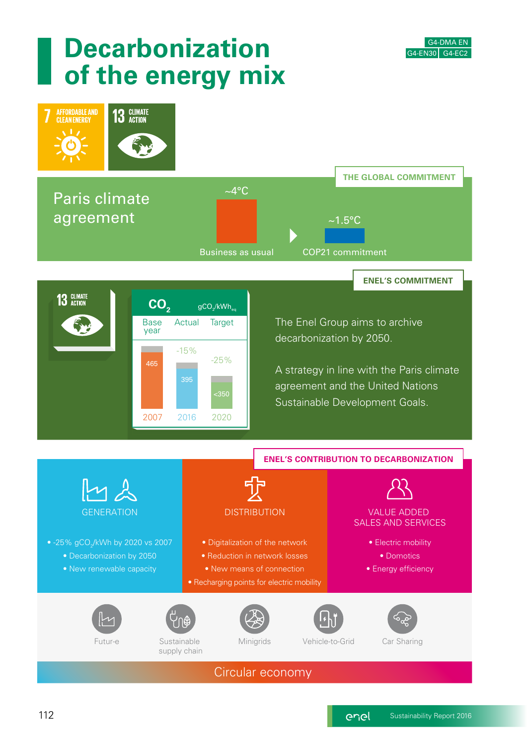

# **Decarbonization of the energy mix**

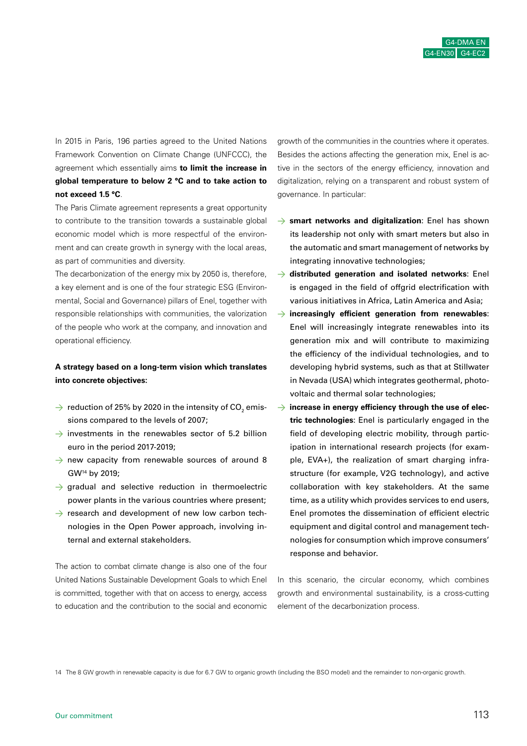In 2015 in Paris, 196 parties agreed to the United Nations Framework Convention on Climate Change (UNFCCC), the agreement which essentially aims **to limit the increase in global temperature to below 2 °C and to take action to not exceed 1.5 °C**.

The Paris Climate agreement represents a great opportunity to contribute to the transition towards a sustainable global economic model which is more respectful of the environment and can create growth in synergy with the local areas, as part of communities and diversity.

The decarbonization of the energy mix by 2050 is, therefore, a key element and is one of the four strategic ESG (Environmental, Social and Governance) pillars of Enel, together with responsible relationships with communities, the valorization of the people who work at the company, and innovation and operational efficiency.

#### **A strategy based on a long-term vision which translates into concrete objectives:**

- $\rightarrow \,$  reduction of 25% by 2020 in the intensity of CO $_{_2}$  emissions compared to the levels of 2007;
- $\rightarrow$  investments in the renewables sector of 5.2 billion euro in the period 2017-2019;
- $\rightarrow$  new capacity from renewable sources of around 8 GW14 by 2019;
- $\rightarrow$  gradual and selective reduction in thermoelectric power plants in the various countries where present;
- $\rightarrow$  research and development of new low carbon technologies in the Open Power approach, involving internal and external stakeholders.

The action to combat climate change is also one of the four United Nations Sustainable Development Goals to which Enel is committed, together with that on access to energy, access to education and the contribution to the social and economic growth of the communities in the countries where it operates. Besides the actions affecting the generation mix, Enel is active in the sectors of the energy efficiency, innovation and digitalization, relying on a transparent and robust system of governance. In particular:

- > **smart networks and digitalization**: Enel has shown its leadership not only with smart meters but also in the automatic and smart management of networks by integrating innovative technologies;
- > **distributed generation and isolated networks**: Enel is engaged in the field of offgrid electrification with various initiatives in Africa, Latin America and Asia;
- > **increasingly efficient generation from renewables**: Enel will increasingly integrate renewables into its generation mix and will contribute to maximizing the efficiency of the individual technologies, and to developing hybrid systems, such as that at Stillwater in Nevada (USA) which integrates geothermal, photovoltaic and thermal solar technologies;
- → increase in energy efficiency through the use of elec**tric technologies**: Enel is particularly engaged in the field of developing electric mobility, through participation in international research projects (for example, EVA+), the realization of smart charging infrastructure (for example, V2G technology), and active collaboration with key stakeholders. At the same time, as a utility which provides services to end users, Enel promotes the dissemination of efficient electric equipment and digital control and management technologies for consumption which improve consumers' response and behavior.

In this scenario, the circular economy, which combines growth and environmental sustainability, is a cross-cutting element of the decarbonization process.

14 The 8 GW growth in renewable capacity is due for 6.7 GW to organic growth (including the BSO model) and the remainder to non-organic growth.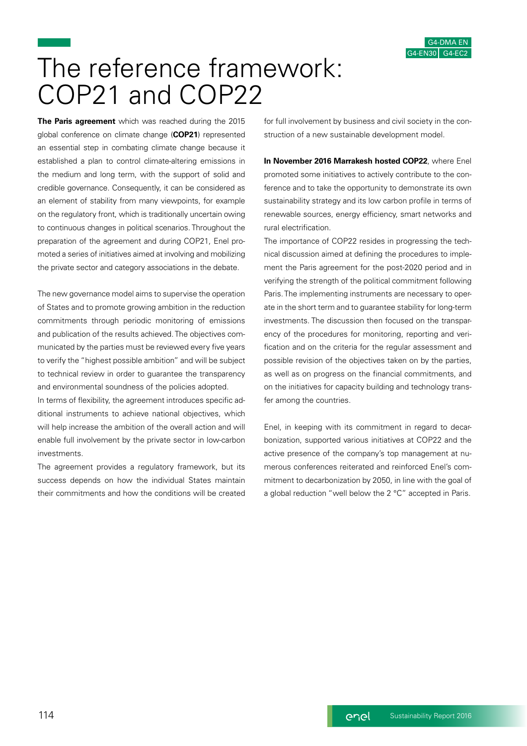# The reference framework: COP21 and COP22

**The Paris agreement** which was reached during the 2015 global conference on climate change (**COP21**) represented an essential step in combating climate change because it established a plan to control climate-altering emissions in the medium and long term, with the support of solid and credible governance. Consequently, it can be considered as an element of stability from many viewpoints, for example on the regulatory front, which is traditionally uncertain owing to continuous changes in political scenarios. Throughout the preparation of the agreement and during COP21, Enel promoted a series of initiatives aimed at involving and mobilizing the private sector and category associations in the debate.

The new governance model aims to supervise the operation of States and to promote growing ambition in the reduction commitments through periodic monitoring of emissions and publication of the results achieved. The objectives communicated by the parties must be reviewed every five years to verify the "highest possible ambition" and will be subject to technical review in order to guarantee the transparency and environmental soundness of the policies adopted.

In terms of flexibility, the agreement introduces specific additional instruments to achieve national objectives, which will help increase the ambition of the overall action and will enable full involvement by the private sector in low-carbon investments.

The agreement provides a regulatory framework, but its success depends on how the individual States maintain their commitments and how the conditions will be created for full involvement by business and civil society in the construction of a new sustainable development model.

**In November 2016 Marrakesh hosted COP22**, where Enel promoted some initiatives to actively contribute to the conference and to take the opportunity to demonstrate its own sustainability strategy and its low carbon profile in terms of renewable sources, energy efficiency, smart networks and rural electrification.

The importance of COP22 resides in progressing the technical discussion aimed at defining the procedures to implement the Paris agreement for the post-2020 period and in verifying the strength of the political commitment following Paris. The implementing instruments are necessary to operate in the short term and to guarantee stability for long-term investments. The discussion then focused on the transparency of the procedures for monitoring, reporting and verification and on the criteria for the regular assessment and possible revision of the objectives taken on by the parties, as well as on progress on the financial commitments, and on the initiatives for capacity building and technology transfer among the countries.

Enel, in keeping with its commitment in regard to decarbonization, supported various initiatives at COP22 and the active presence of the company's top management at numerous conferences reiterated and reinforced Enel's commitment to decarbonization by 2050, in line with the goal of a global reduction "well below the 2 °C" accepted in Paris.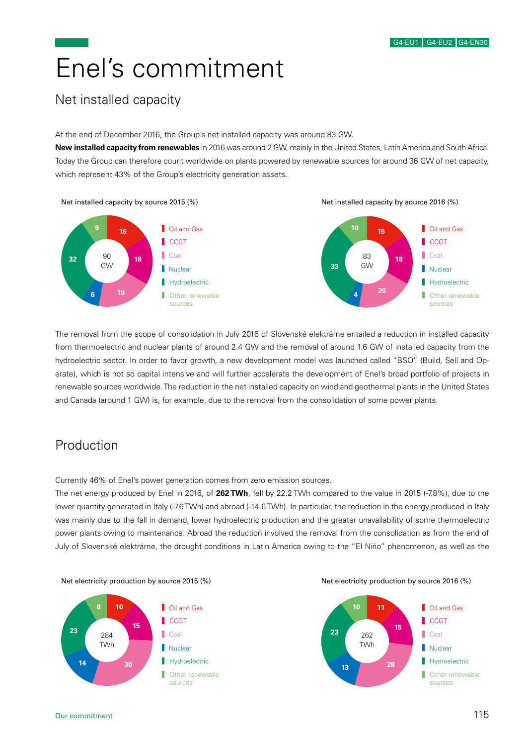# Enel's commitment

### Net installed capacity

At the end of December 2016, the Group's net installed capacity was around 83 GW.

**New installed capacity from renewables** in 2016 was around 2 GW, mainly in the United States, Latin America and South Africa. Today the Group can therefore count worldwide on plants powered by renewable sources for around 36 GW of net capacity, which represent 43% of the Group's electricity generation assets.



The removal from the scope of consolidation in July 2016 of Slovenské elektrárne entailed a reduction in installed capacity from thermoelectric and nuclear plants of around 2.4 GW and the removal of around 1.6 GW of installed capacity from the hydroelectric sector. In order to favor growth, a new development model was launched called "BSO" (Build, Sell and Operate), which is not so capital intensive and will further accelerate the development of Enel's broad portfolio of projects in renewable sources worldwide. The reduction in the net installed capacity on wind and geothermal plants in the United States and Canada (around 1 GW) is, for example, due to the removal from the consolidation of some power plants.

### Production

Currently 46% of Enel's power generation comes from zero emission sources.

The net energy produced by Enel in 2016, of **262 TWh**, fell by 22.2 TWh compared to the value in 2015 (-7.8%), due to the lower quantity generated in Italy (-7.6 TWh) and abroad (-14.6 TWh). In particular, the reduction in the energy produced in Italy was mainly due to the fall in demand, lower hydroelectric production and the greater unavailability of some thermoelectric power plants owing to maintenance. Abroad the reduction involved the removal from the consolidation as from the end of July of Slovenské elektrárne, the drought conditions in Latin America owing to the "El Niño" phenomenon, as well as the

#### **8 10 Cil and Gas CCGT <sup>15</sup> <sup>23</sup>** 284 П Coal

Hydroelectric

**Other renewable** sources





**14 30**

TWh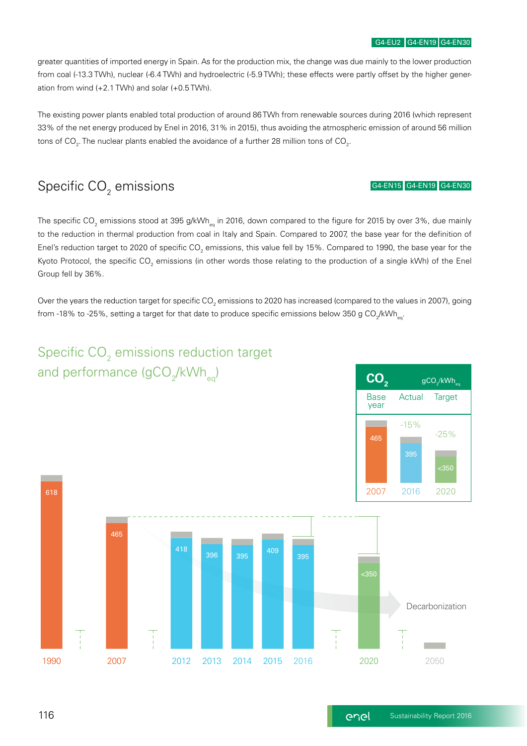greater quantities of imported energy in Spain. As for the production mix, the change was due mainly to the lower production from coal (-13.3 TWh), nuclear (-6.4 TWh) and hydroelectric (-5.9 TWh); these effects were partly offset by the higher generation from wind (+2.1 TWh) and solar (+0.5 TWh).

The existing power plants enabled total production of around 86 TWh from renewable sources during 2016 (which represent 33% of the net energy produced by Enel in 2016, 31% in 2015), thus avoiding the atmospheric emission of around 56 million tons of CO $_{\textrm{\tiny{2}}}$ . The nuclear plants enabled the avoidance of a further 28 million tons of CO $_{\textrm{\tiny{2}}}$ .

## Specific CO $_{\textrm{\tiny{2}}}$  emissions

#### G4-EN15 G4-EN19 G4-EN30

The specific CO<sub>2</sub> emissions stood at 395 g/kWh<sub>eq</sub> in 2016, down compared to the figure for 2015 by over 3%, due mainly to the reduction in thermal production from coal in Italy and Spain. Compared to 2007, the base year for the definition of Enel's reduction target to 2020 of specific CO<sub>2</sub> emissions, this value fell by 15%. Compared to 1990, the base year for the Kyoto Protocol, the specific CO<sub>2</sub> emissions (in other words those relating to the production of a single kWh) of the Enel Group fell by 36%.

Over the years the reduction target for specific CO $_2$  emissions to 2020 has increased (compared to the values in 2007), going from -18% to -25%, setting a target for that date to produce specific emissions below 350 g CO<sub>2</sub>/kWh<sub>eq</sub>.

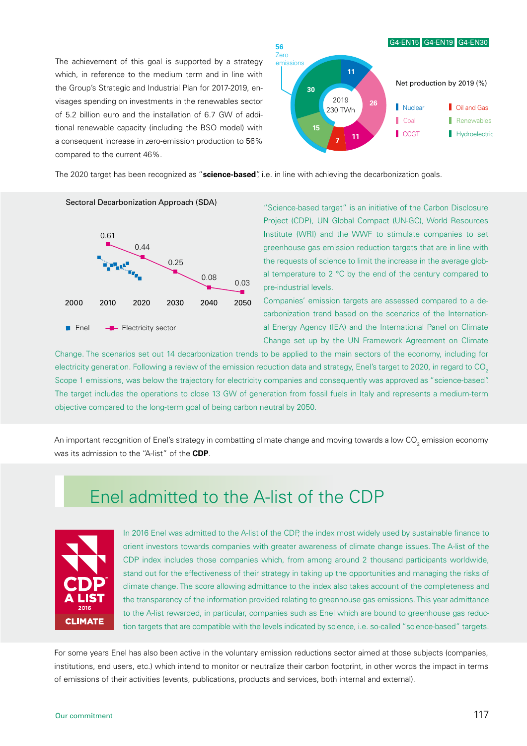The achievement of this goal is supported by a strategy which, in reference to the medium term and in line with the Group's Strategic and Industrial Plan for 2017-2019, envisages spending on investments in the renewables sector of 5.2 billion euro and the installation of 6.7 GW of additional renewable capacity (including the BSO model) with a consequent increase in zero-emission production to 56% compared to the current 46%.



The 2020 target has been recognized as "**science-based**", i.e. in line with achieving the decarbonization goals.



"Science-based target" is an initiative of the Carbon Disclosure Project (CDP), UN Global Compact (UN-GC), World Resources Institute (WRI) and the WWF to stimulate companies to set greenhouse gas emission reduction targets that are in line with the requests of science to limit the increase in the average global temperature to 2 °C by the end of the century compared to pre-industrial levels.

Companies' emission targets are assessed compared to a decarbonization trend based on the scenarios of the International Energy Agency (IEA) and the International Panel on Climate Change set up by the UN Framework Agreement on Climate

Change. The scenarios set out 14 decarbonization trends to be applied to the main sectors of the economy, including for electricity generation. Following a review of the emission reduction data and strategy, Enel's target to 2020, in regard to CO<sub>2</sub> Scope 1 emissions, was below the trajectory for electricity companies and consequently was approved as "science-based". The target includes the operations to close 13 GW of generation from fossil fuels in Italy and represents a medium-term objective compared to the long-term goal of being carbon neutral by 2050.

An important recognition of Enel's strategy in combatting climate change and moving towards a low CO $_2$  emission economy was its admission to the "A-list" of the **CDP**.

# Enel admitted to the A-list of the CDP



In 2016 Enel was admitted to the A-list of the CDP, the index most widely used by sustainable finance to orient investors towards companies with greater awareness of climate change issues. The A-list of the CDP index includes those companies which, from among around 2 thousand participants worldwide, stand out for the effectiveness of their strategy in taking up the opportunities and managing the risks of climate change. The score allowing admittance to the index also takes account of the completeness and the transparency of the information provided relating to greenhouse gas emissions. This year admittance to the A-list rewarded, in particular, companies such as Enel which are bound to greenhouse gas reduction targets that are compatible with the levels indicated by science, i.e. so-called "science-based" targets.

For some years Enel has also been active in the voluntary emission reductions sector aimed at those subjects (companies, institutions, end users, etc.) which intend to monitor or neutralize their carbon footprint, in other words the impact in terms of emissions of their activities (events, publications, products and services, both internal and external).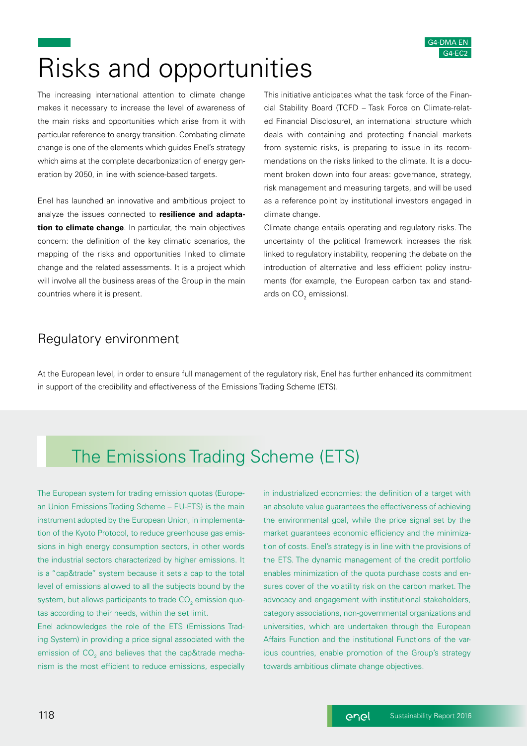# Risks and opportunities

The increasing international attention to climate change makes it necessary to increase the level of awareness of the main risks and opportunities which arise from it with particular reference to energy transition. Combating climate change is one of the elements which guides Enel's strategy which aims at the complete decarbonization of energy generation by 2050, in line with science-based targets.

Enel has launched an innovative and ambitious project to analyze the issues connected to **resilience and adaptation to climate change**. In particular, the main objectives concern: the definition of the key climatic scenarios, the mapping of the risks and opportunities linked to climate change and the related assessments. It is a project which will involve all the business areas of the Group in the main countries where it is present.

This initiative anticipates what the task force of the Financial Stability Board (TCFD – Task Force on Climate-related Financial Disclosure), an international structure which deals with containing and protecting financial markets from systemic risks, is preparing to issue in its recommendations on the risks linked to the climate. It is a document broken down into four areas: governance, strategy, risk management and measuring targets, and will be used as a reference point by institutional investors engaged in climate change.

Climate change entails operating and regulatory risks. The uncertainty of the political framework increases the risk linked to regulatory instability, reopening the debate on the introduction of alternative and less efficient policy instruments (for example, the European carbon tax and standards on  $\mathsf{CO}_2$  emissions).

### Regulatory environment

At the European level, in order to ensure full management of the regulatory risk, Enel has further enhanced its commitment in support of the credibility and effectiveness of the Emissions Trading Scheme (ETS).

# The Emissions Trading Scheme (ETS)

The European system for trading emission quotas (European Union Emissions Trading Scheme – EU-ETS) is the main instrument adopted by the European Union, in implementation of the Kyoto Protocol, to reduce greenhouse gas emissions in high energy consumption sectors, in other words the industrial sectors characterized by higher emissions. It is a "cap&trade" system because it sets a cap to the total level of emissions allowed to all the subjects bound by the system, but allows participants to trade  $\mathsf{CO}_2^{}$  emission quotas according to their needs, within the set limit.

Enel acknowledges the role of the ETS (Emissions Trading System) in providing a price signal associated with the emission of CO<sub>2</sub> and believes that the cap&trade mechanism is the most efficient to reduce emissions, especially

in industrialized economies: the definition of a target with an absolute value guarantees the effectiveness of achieving the environmental goal, while the price signal set by the market guarantees economic efficiency and the minimization of costs. Enel's strategy is in line with the provisions of the ETS. The dynamic management of the credit portfolio enables minimization of the quota purchase costs and ensures cover of the volatility risk on the carbon market. The advocacy and engagement with institutional stakeholders, category associations, non-governmental organizations and universities, which are undertaken through the European Affairs Function and the institutional Functions of the various countries, enable promotion of the Group's strategy towards ambitious climate change objectives.